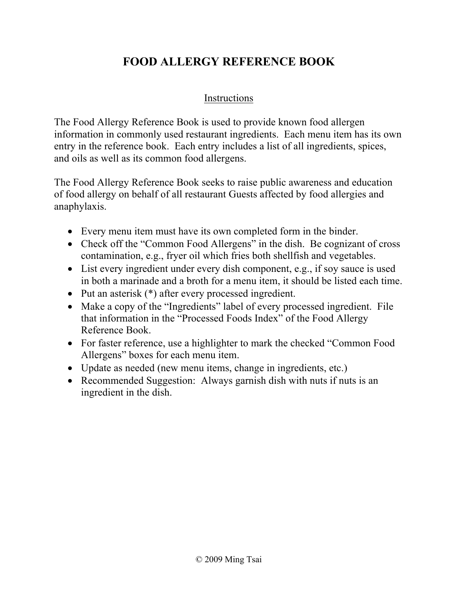#### **FOOD ALLERGY REFERENCE BOOK**

#### Instructions

The Food Allergy Reference Book is used to provide known food allergen information in commonly used restaurant ingredients. Each menu item has its own entry in the reference book. Each entry includes a list of all ingredients, spices, and oils as well as its common food allergens.

The Food Allergy Reference Book seeks to raise public awareness and education of food allergy on behalf of all restaurant Guests affected by food allergies and anaphylaxis.

- Every menu item must have its own completed form in the binder.
- Check off the "Common Food Allergens" in the dish. Be cognizant of cross contamination, e.g., fryer oil which fries both shellfish and vegetables.
- List every ingredient under every dish component, e.g., if soy sauce is used in both a marinade and a broth for a menu item, it should be listed each time.
- Put an asterisk (\*) after every processed ingredient.
- Make a copy of the "Ingredients" label of every processed ingredient. File that information in the "Processed Foods Index" of the Food Allergy Reference Book.
- For faster reference, use a highlighter to mark the checked "Common Food" Allergens" boxes for each menu item.
- Update as needed (new menu items, change in ingredients, etc.)
- Recommended Suggestion: Always garnish dish with nuts if nuts is an ingredient in the dish.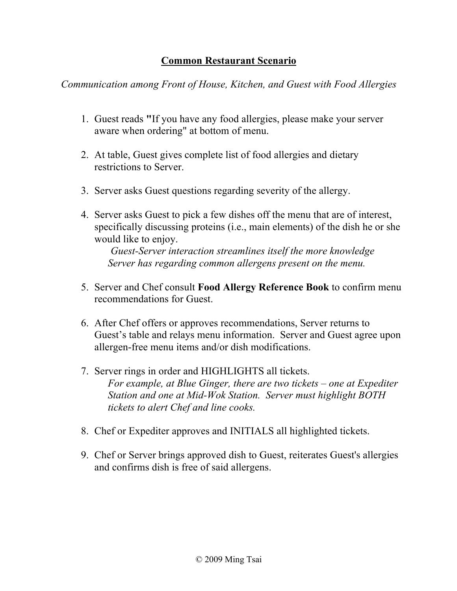#### **Common Restaurant Scenario**

*Communication among Front of House, Kitchen, and Guest with Food Allergies*

- 1. Guest reads **"**If you have any food allergies, please make your server aware when ordering" at bottom of menu.
- 2. At table, Guest gives complete list of food allergies and dietary restrictions to Server.
- 3. Server asks Guest questions regarding severity of the allergy.
- 4. Server asks Guest to pick a few dishes off the menu that are of interest, specifically discussing proteins (i.e., main elements) of the dish he or she would like to enjoy.

*Guest-Server interaction streamlines itself the more knowledge Server has regarding common allergens present on the menu.*

- 5. Server and Chef consult **Food Allergy Reference Book** to confirm menu recommendations for Guest.
- 6. After Chef offers or approves recommendations, Server returns to Guest's table and relays menu information. Server and Guest agree upon allergen-free menu items and/or dish modifications.
- 7. Server rings in order and HIGHLIGHTS all tickets. *For example, at Blue Ginger, there are two tickets – one at Expediter Station and one at Mid-Wok Station. Server must highlight BOTH tickets to alert Chef and line cooks.*
- 8. Chef or Expediter approves and INITIALS all highlighted tickets.
- 9. Chef or Server brings approved dish to Guest, reiterates Guest's allergies and confirms dish is free of said allergens.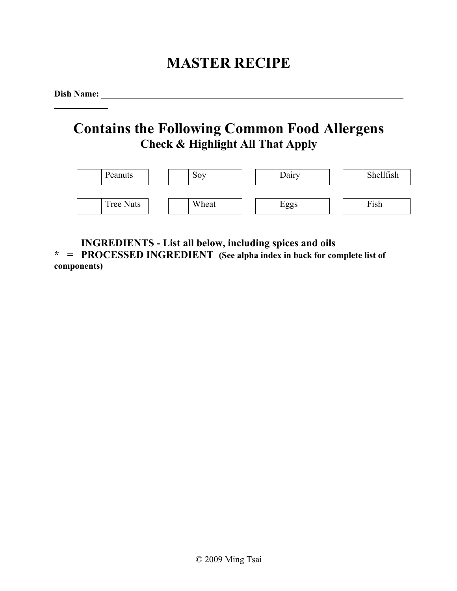# **MASTER RECIPE**

**Dish Name:** 

## **Contains the Following Common Food Allergens Check & Highlight All That Apply**

| Peanuts   | Sov   | Dairy | Shellfish |
|-----------|-------|-------|-----------|
| Tree Nuts | Wheat | Eggs  | Fish      |

**INGREDIENTS - List all below, including spices and oils**

**\* = PROCESSED INGREDIENT (See alpha index in back for complete list of components)**